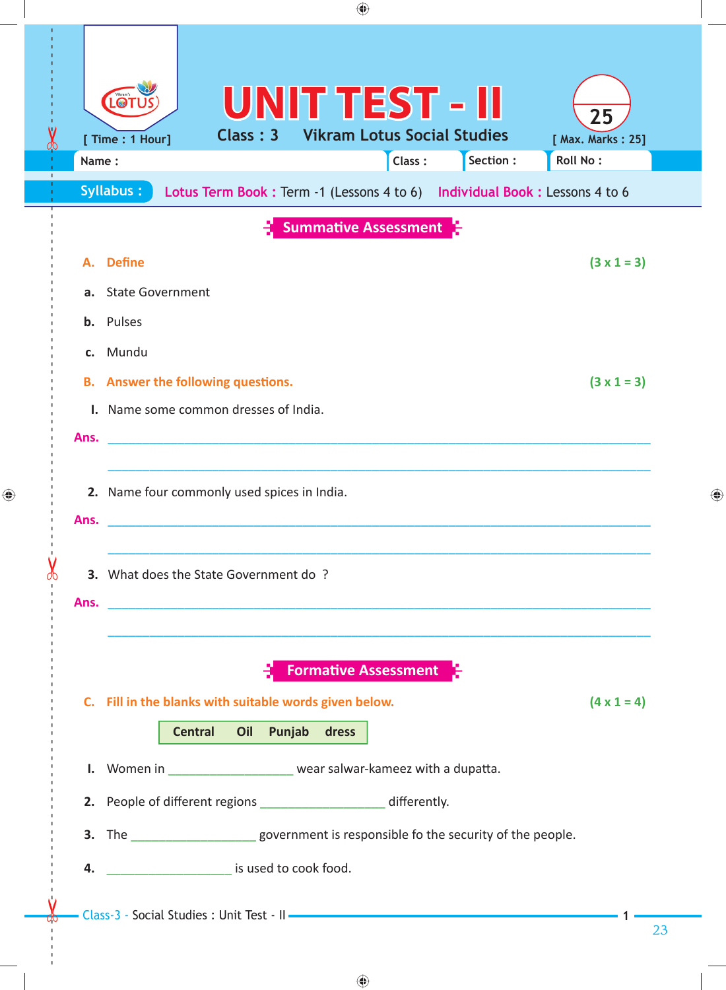|  |          | ◈                                                                                                                                                                                                                                |                         |   |  |  |  |
|--|----------|----------------------------------------------------------------------------------------------------------------------------------------------------------------------------------------------------------------------------------|-------------------------|---|--|--|--|
|  | Name:    | <b>UNIT TEST - II</b><br>LOT<br><b>Vikram Lotus Social Studies</b><br>Class: 3<br>[ Time : 1 Hour]<br>Section:<br>Roll No:<br>Class:<br>Syllabus:<br>Lotus Term Book : Term -1 (Lessons 4 to 6) Individual Book : Lessons 4 to 6 | 25<br>[ Max. Marks: 25] |   |  |  |  |
|  |          | <b>Summative Assessment</b>                                                                                                                                                                                                      |                         |   |  |  |  |
|  | а.<br>b. | A. Define<br><b>State Government</b><br>Pulses                                                                                                                                                                                   | $(3 \times 1 = 3)$      |   |  |  |  |
|  | Ans.     | c. Mundu<br><b>B.</b> Answer the following questions.<br>I. Name some common dresses of India.                                                                                                                                   | $(3 \times 1 = 3)$      |   |  |  |  |
|  | Ans.     | 2. Name four commonly used spices in India.                                                                                                                                                                                      |                         | ♠ |  |  |  |
|  |          | 3. What does the State Government do?                                                                                                                                                                                            |                         |   |  |  |  |
|  |          | <b>Formative Assessment</b><br>C. Fill in the blanks with suitable words given below.<br><b>Central</b><br>Oil Punjab dress                                                                                                      | $(4 \times 1 = 4)$      |   |  |  |  |
|  |          | I. Women in _____________________ wear salwar-kameez with a dupatta.<br>2. People of different regions ___________________ differently.                                                                                          |                         |   |  |  |  |
|  |          | 3. The ________________________government is responsible fo the security of the people.<br><b>4.</b> Since is used to cook food.                                                                                                 |                         |   |  |  |  |
|  |          |                                                                                                                                                                                                                                  | 23                      |   |  |  |  |

 $\bigoplus$ 

 $\bigoplus$